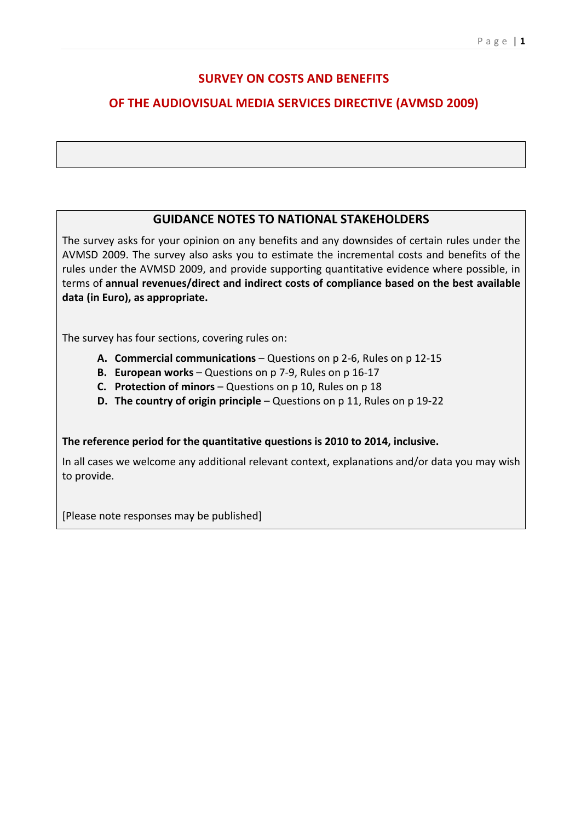## **SURVEY ON COSTS AND BENEFITS**

# **OF THE AUDIOVISUAL MEDIA SERVICES DIRECTIVE (AVMSD 2009)**

### **GUIDANCE NOTES TO NATIONAL STAKEHOLDERS**

The survey asks for your opinion on any benefits and any downsides of certain rules under the AVMSD 2009. The survey also asks you to estimate the incremental costs and benefits of the rules under the AVMSD 2009, and provide supporting quantitative evidence where possible, in terms of annual revenues/direct and indirect costs of compliance based on the best available **data (in Euro), as appropriate.** 

The survey has four sections, covering rules on:

- **A. Commercial communications** Questions on p 2-6, Rules on p 12-15
- **B.** European works Questions on p 7-9, Rules on p 16-17
- **C.** Protection of minors Questions on p 10, Rules on p 18
- **D.** The country of origin principle Questions on p 11, Rules on p 19-22

### The reference period for the quantitative questions is 2010 to 2014, inclusive.

In all cases we welcome any additional relevant context, explanations and/or data you may wish to provide.

[Please note responses may be published]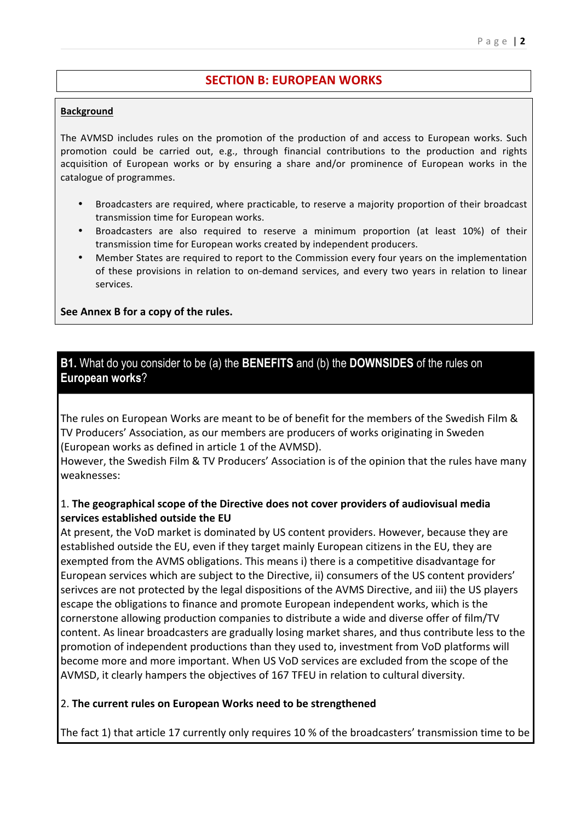### **SECTION B: FUROPEAN WORKS**

#### **Background**

The AVMSD includes rules on the promotion of the production of and access to European works. Such promotion could be carried out, e.g., through financial contributions to the production and rights acquisition of European works or by ensuring a share and/or prominence of European works in the catalogue of programmes.

- Broadcasters are required, where practicable, to reserve a majority proportion of their broadcast transmission time for European works.
- Broadcasters are also required to reserve a minimum proportion (at least 10%) of their transmission time for European works created by independent producers.
- Member States are required to report to the Commission every four years on the implementation of these provisions in relation to on-demand services, and every two years in relation to linear services.

See Annex B for a copy of the rules.

### **B1.** What do you consider to be (a) the **BENEFITS** and (b) the **DOWNSIDES** of the rules on **European works**?

The rules on European Works are meant to be of benefit for the members of the Swedish Film & TV Producers' Association, as our members are producers of works originating in Sweden (European works as defined in article 1 of the AVMSD).

However, the Swedish Film & TV Producers' Association is of the opinion that the rules have many weaknesses:

### 1. The geographical scope of the Directive does not cover providers of audiovisual media **services established outside the EU**

At present, the VoD market is dominated by US content providers. However, because they are established outside the EU, even if they target mainly European citizens in the EU, they are exempted from the AVMS obligations. This means i) there is a competitive disadvantage for European services which are subject to the Directive, ii) consumers of the US content providers' serivces are not protected by the legal dispositions of the AVMS Directive, and iii) the US players escape the obligations to finance and promote European independent works, which is the cornerstone allowing production companies to distribute a wide and diverse offer of film/TV content. As linear broadcasters are gradually losing market shares, and thus contribute less to the promotion of independent productions than they used to, investment from VoD platforms will become more and more important. When US VoD services are excluded from the scope of the AVMSD, it clearly hampers the objectives of 167 TFEU in relation to cultural diversity.

### 2. The current rules on European Works need to be strengthened

The fact 1) that article 17 currently only requires 10 % of the broadcasters' transmission time to be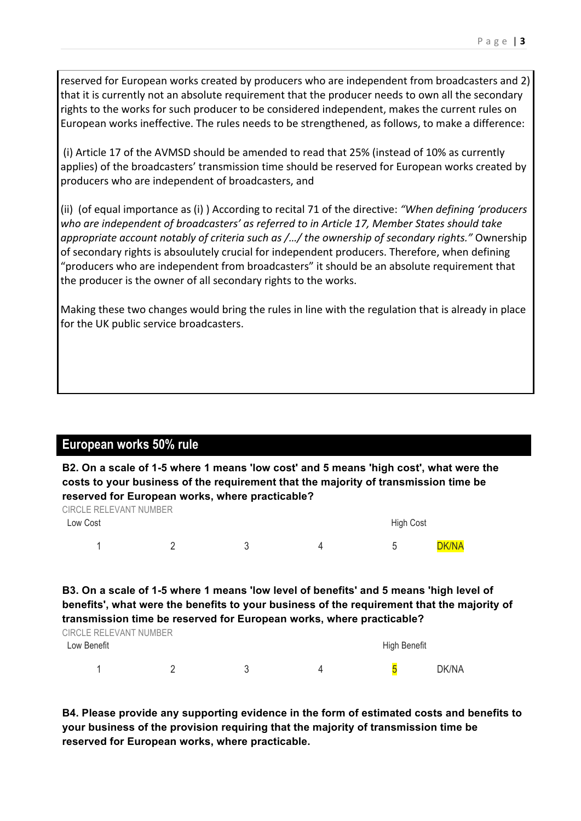reserved for European works created by producers who are independent from broadcasters and 2) that it is currently not an absolute requirement that the producer needs to own all the secondary rights to the works for such producer to be considered independent, makes the current rules on European works ineffective. The rules needs to be strengthened, as follows, to make a difference:

(i) Article 17 of the AVMSD should be amended to read that 25% (instead of 10% as currently applies) of the broadcasters' transmission time should be reserved for European works created by producers who are independent of broadcasters, and

(ii) (of equal importance as (i)) According to recital 71 of the directive: "When defining 'producers who are independent of broadcasters' as referred to in Article 17, Member States should take appropriate account notably of criteria such as /.../ the ownership of secondary rights." Ownership of secondary rights is absoulutely crucial for independent producers. Therefore, when defining "producers who are independent from broadcasters" it should be an absolute requirement that the producer is the owner of all secondary rights to the works.

Making these two changes would bring the rules in line with the regulation that is already in place for the UK public service broadcasters.

# **European works 50% rule**

**B2. On a scale of 1-5 where 1 means 'low cost' and 5 means 'high cost', what were the costs to your business of the requirement that the majority of transmission time be reserved for European works, where practicable?**

| CIRCLE RELEVANT NUMBER |  |           |              |
|------------------------|--|-----------|--------------|
| Low Cost               |  | High Cost |              |
|                        |  |           | <b>DK/NA</b> |

### **B3. On a scale of 1-5 where 1 means 'low level of benefits' and 5 means 'high level of benefits', what were the benefits to your business of the requirement that the majority of transmission time be reserved for European works, where practicable?**

| CIRCLE RELEVANT NUMBER |  |              |  |       |
|------------------------|--|--------------|--|-------|
| Low Benefit            |  | High Benefit |  |       |
|                        |  |              |  | DK/NA |

**B4. Please provide any supporting evidence in the form of estimated costs and benefits to your business of the provision requiring that the majority of transmission time be reserved for European works, where practicable.**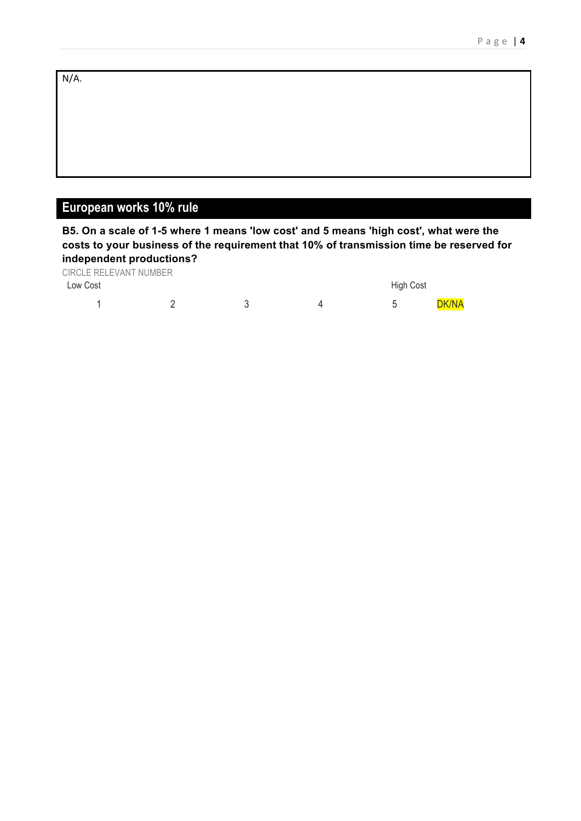N/A. 

# **European works 10% rule**

**B5. On a scale of 1-5 where 1 means 'low cost' and 5 means 'high cost', what were the costs to your business of the requirement that 10% of transmission time be reserved for independent productions?**

| CIRCLE RELEVANT NUMBER |  |                  |              |
|------------------------|--|------------------|--------------|
| Low Cost               |  | <b>High Cost</b> |              |
|                        |  |                  | <b>DK/NA</b> |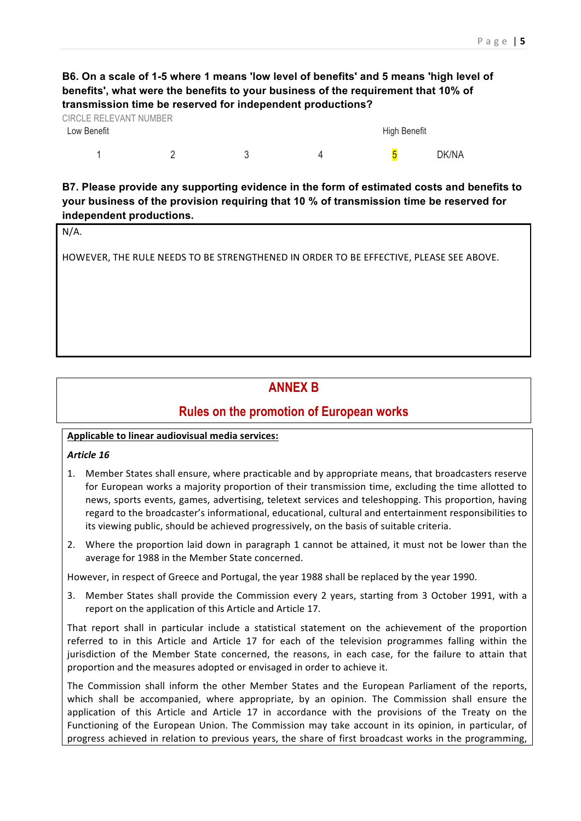### **B6. On a scale of 1-5 where 1 means 'low level of benefits' and 5 means 'high level of benefits', what were the benefits to your business of the requirement that 10% of transmission time be reserved for independent productions?**

| CIRCLE RELEVANT NUMBER |  |              |       |
|------------------------|--|--------------|-------|
| Low Benefit            |  | High Benefit |       |
|                        |  |              | DK/NA |

**B7. Please provide any supporting evidence in the form of estimated costs and benefits to your business of the provision requiring that 10 % of transmission time be reserved for independent productions.**

|--|

HOWEVER, THE RULE NEEDS TO BE STRENGTHENED IN ORDER TO BE EFFECTIVE, PLEASE SEE ABOVE.

# **ANNEX B**

### **Rules on the promotion of European works**

### **Applicable to linear audiovisual media services:**

#### *Article 16*

- 1. Member States shall ensure, where practicable and by appropriate means, that broadcasters reserve for European works a majority proportion of their transmission time, excluding the time allotted to news, sports events, games, advertising, teletext services and teleshopping. This proportion, having regard to the broadcaster's informational, educational, cultural and entertainment responsibilities to its viewing public, should be achieved progressively, on the basis of suitable criteria.
- 2. Where the proportion laid down in paragraph 1 cannot be attained, it must not be lower than the average for 1988 in the Member State concerned.

However, in respect of Greece and Portugal, the year 1988 shall be replaced by the year 1990.

3. Member States shall provide the Commission every 2 years, starting from 3 October 1991, with a report on the application of this Article and Article 17.

That report shall in particular include a statistical statement on the achievement of the proportion referred to in this Article and Article 17 for each of the television programmes falling within the jurisdiction of the Member State concerned, the reasons, in each case, for the failure to attain that proportion and the measures adopted or envisaged in order to achieve it.

The Commission shall inform the other Member States and the European Parliament of the reports, which shall be accompanied, where appropriate, by an opinion. The Commission shall ensure the application of this Article and Article 17 in accordance with the provisions of the Treaty on the Functioning of the European Union. The Commission may take account in its opinion, in particular, of progress achieved in relation to previous years, the share of first broadcast works in the programming,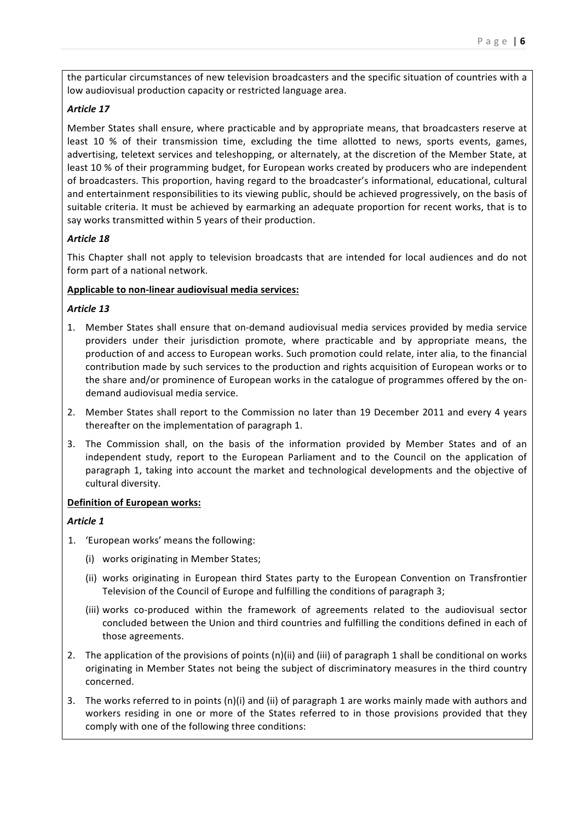the particular circumstances of new television broadcasters and the specific situation of countries with a low audiovisual production capacity or restricted language area.

### *Article 17*

Member States shall ensure, where practicable and by appropriate means, that broadcasters reserve at least 10 % of their transmission time, excluding the time allotted to news, sports events, games, advertising, teletext services and teleshopping, or alternately, at the discretion of the Member State, at least 10 % of their programming budget, for European works created by producers who are independent of broadcasters. This proportion, having regard to the broadcaster's informational, educational, cultural and entertainment responsibilities to its viewing public, should be achieved progressively, on the basis of suitable criteria. It must be achieved by earmarking an adequate proportion for recent works, that is to say works transmitted within 5 years of their production.

#### *Article 18*

This Chapter shall not apply to television broadcasts that are intended for local audiences and do not form part of a national network.

#### Applicable to non-linear audiovisual media services:

#### *Article 13*

- 1. Member States shall ensure that on-demand audiovisual media services provided by media service providers under their jurisdiction promote, where practicable and by appropriate means, the production of and access to European works. Such promotion could relate, inter alia, to the financial contribution made by such services to the production and rights acquisition of European works or to the share and/or prominence of European works in the catalogue of programmes offered by the ondemand audiovisual media service.
- 2. Member States shall report to the Commission no later than 19 December 2011 and every 4 years thereafter on the implementation of paragraph 1.
- 3. The Commission shall, on the basis of the information provided by Member States and of an independent study, report to the European Parliament and to the Council on the application of paragraph 1, taking into account the market and technological developments and the objective of cultural diversity.

#### **Definition of European works:**

### *Article 1*

- 1. 'European works' means the following:
	- (i) works originating in Member States;
	- (ii) works originating in European third States party to the European Convention on Transfrontier Television of the Council of Europe and fulfilling the conditions of paragraph 3;
	- (iii) works co-produced within the framework of agreements related to the audiovisual sector concluded between the Union and third countries and fulfilling the conditions defined in each of those agreements.
- 2. The application of the provisions of points  $(n)(ii)$  and  $(iii)$  of paragraph 1 shall be conditional on works originating in Member States not being the subject of discriminatory measures in the third country concerned.
- 3. The works referred to in points  $(n)(i)$  and  $(i)$  of paragraph 1 are works mainly made with authors and workers residing in one or more of the States referred to in those provisions provided that they comply with one of the following three conditions: